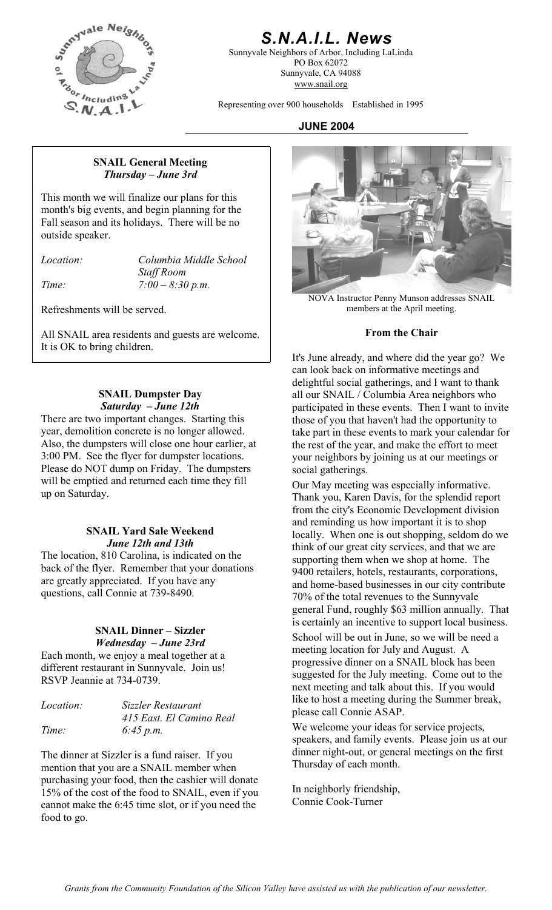

# *S.N.A.I.L. News*

Sunnyvale Neighbors of Arbor, Including LaLinda PO Box 62072 Sunnyvale, CA 94088 www.snail.org

Representing over 900 households Established in 1995

#### **JUNE 2004**

#### **SNAIL General Meeting**  *Thursday – June 3rd*

This month we will finalize our plans for this month's big events, and begin planning for the Fall season and its holidays. There will be no outside speaker.

*Location: Columbia Middle School Staff Room Time: 7:00 – 8:30 p.m.* 

All SNAIL area residents and guests are welcome. **From the Chair** It is OK to bring children.

#### **SNAIL Dumpster Day**  *Saturday – June 12th*

There are two important changes. Starting this year, demolition concrete is no longer allowed. Also, the dumpsters will close one hour earlier, at 3:00 PM. See the flyer for dumpster locations. Please do NOT dump on Friday. The dumpsters will be emptied and returned each time they fill will be emptied and returned each time they fill<br>up on Saturday.<br>Thank you Karen Davis, for the splendid repo

#### **SNAIL Yard Sale Weekend**  *June 12th and 13th*

The location, 810 Carolina, is indicated on the back of the flyer. Remember that your donations are greatly appreciated. If you have any questions, call Connie at 739-8490.

# **SNAIL Dinner – Sizzler**

Each month, we enjoy a meal together at a different restaurant in Sunnyvale. Join us! RSVP Jeannie at 734-0739.

| <i>Location:</i> | Sizzler Restaurant       |
|------------------|--------------------------|
|                  | 415 East. El Camino Real |
| Time:            | 6:45 p.m.                |

The dinner at Sizzler is a fund raiser. If you mention that you are a SNAIL member when purchasing your food, then the cashier will donate 15% of the cost of the food to SNAIL, even if you cannot make the 6:45 time slot, or if you need the food to go.



NOVA Instructor Penny Munson addresses SNAIL Refreshments will be served. The members at the April meeting.

It's June already, and where did the year go? We can look back on informative meetings and delightful social gatherings, and I want to thank all our SNAIL / Columbia Area neighbors who participated in these events. Then I want to invite those of you that haven't had the opportunity to take part in these events to mark your calendar for the rest of the year, and make the effort to meet your neighbors by joining us at our meetings or social gatherings.

Thank you, Karen Davis, for the splendid report from the city's Economic Development division and reminding us how important it is to shop locally. When one is out shopping, seldom do we think of our great city services, and that we are supporting them when we shop at home. The 9400 retailers, hotels, restaurants, corporations, and home-based businesses in our city contribute 70% of the total revenues to the Sunnyvale general Fund, roughly \$63 million annually. That is certainly an incentive to support local business. *Wednesday – June 23rd* School will be out in June, so we will be need a meeting location for July and August. A progressive dinner on a SNAIL block has been suggested for the July meeting. Come out to the next meeting and talk about this. If you would like to host a meeting during the Summer break, please call Connie ASAP.

> We welcome your ideas for service projects, speakers, and family events. Please join us at our dinner night-out, or general meetings on the first Thursday of each month.

In neighborly friendship, Connie Cook-Turner